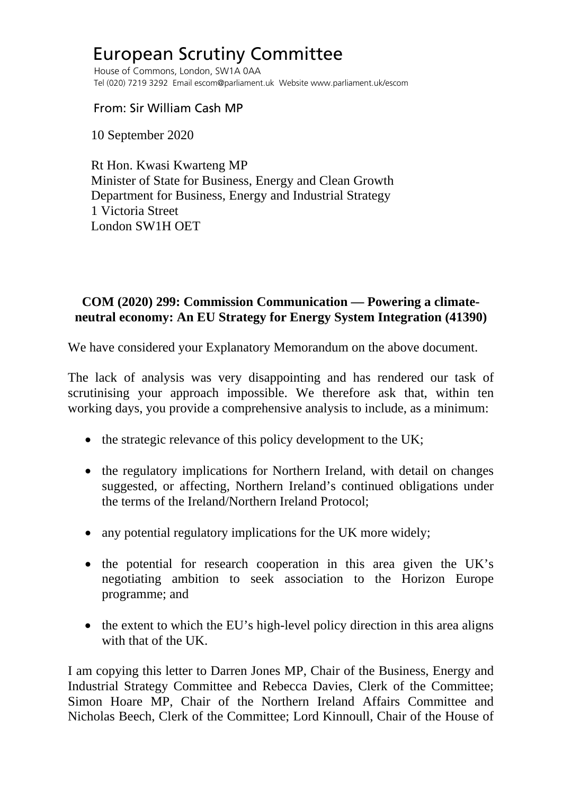## European Scrutiny Committee

 House of Commons, London, SW1A 0AA Tel (020) 7219 3292 Email escom@parliament.uk Website www.parliament.uk/escom

From: Sir William Cash MP

10 September 2020

 Rt Hon. Kwasi Kwarteng MP Minister of State for Business, Energy and Clean Growth Department for Business, Energy and Industrial Strategy 1 Victoria Street London SW1H OET

## **COM (2020) 299: Commission Communication — Powering a climateneutral economy: An EU Strategy for Energy System Integration (41390)**

We have considered your Explanatory Memorandum on the above document.

The lack of analysis was very disappointing and has rendered our task of scrutinising your approach impossible. We therefore ask that, within ten working days, you provide a comprehensive analysis to include, as a minimum:

- the strategic relevance of this policy development to the UK;
- the regulatory implications for Northern Ireland, with detail on changes suggested, or affecting, Northern Ireland's continued obligations under the terms of the Ireland/Northern Ireland Protocol;
- any potential regulatory implications for the UK more widely;
- the potential for research cooperation in this area given the UK's negotiating ambition to seek association to the Horizon Europe programme; and
- the extent to which the EU's high-level policy direction in this area aligns with that of the UK.

I am copying this letter to Darren Jones MP, Chair of the Business, Energy and Industrial Strategy Committee and Rebecca Davies, Clerk of the Committee; Simon Hoare MP, Chair of the Northern Ireland Affairs Committee and Nicholas Beech, Clerk of the Committee; Lord Kinnoull, Chair of the House of